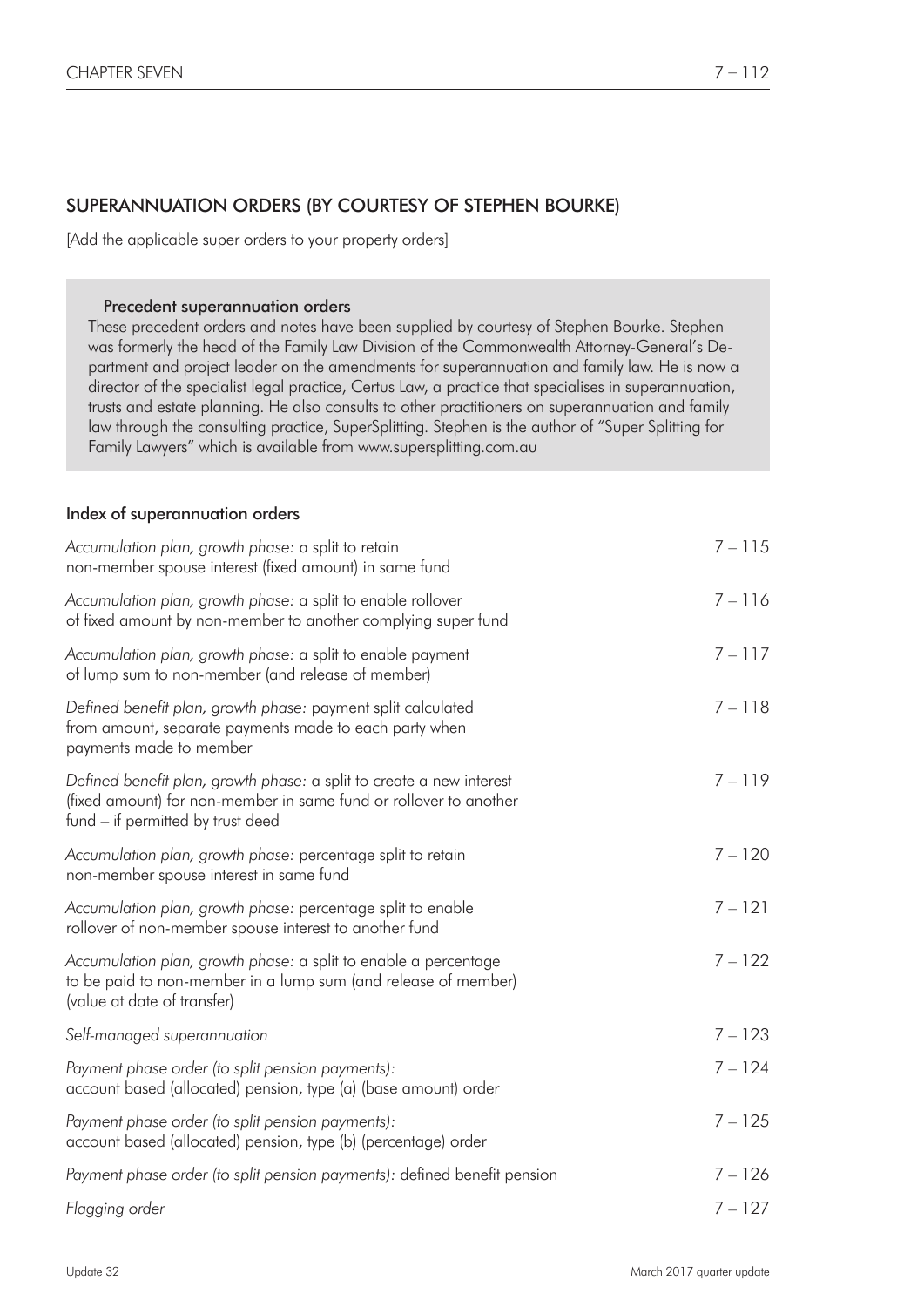# SUPERANNUATION ORDERS (BY COURTESY OF STEPHEN BOURKE)

[Add the applicable super orders to your property orders]

#### Precedent superannuation orders

These precedent orders and notes have been supplied by courtesy of Stephen Bourke. Stephen was formerly the head of the Family Law Division of the Commonwealth Attorney-General's Department and project leader on the amendments for superannuation and family law. He is now a director of the specialist legal practice, Certus Law, a practice that specialises in superannuation, trusts and estate planning. He also consults to other practitioners on superannuation and family law through the consulting practice, SuperSplitting. Stephen is the author of "Super Splitting for Family Lawyers" which is available from www.supersplitting.com.au

#### Index of superannuation orders

| Accumulation plan, growth phase: a split to retain<br>non-member spouse interest (fixed amount) in same fund                                                                   | $7 - 115$ |
|--------------------------------------------------------------------------------------------------------------------------------------------------------------------------------|-----------|
| Accumulation plan, growth phase: a split to enable rollover<br>of fixed amount by non-member to another complying super fund                                                   | $7 - 116$ |
| Accumulation plan, growth phase: a split to enable payment<br>of lump sum to non-member (and release of member)                                                                | $7 - 117$ |
| Defined benefit plan, growth phase: payment split calculated<br>from amount, separate payments made to each party when<br>payments made to member                              | $7 - 118$ |
| Defined benefit plan, growth phase: a split to create a new interest<br>(fixed amount) for non-member in same fund or rollover to another<br>fund – if permitted by trust deed | $7 - 119$ |
| Accumulation plan, growth phase: percentage split to retain<br>non-member spouse interest in same fund                                                                         | $7 - 120$ |
| Accumulation plan, growth phase: percentage split to enable<br>rollover of non-member spouse interest to another fund                                                          | $7 - 121$ |
| Accumulation plan, growth phase: a split to enable a percentage<br>to be paid to non-member in a lump sum (and release of member)<br>(value at date of transfer)               | $7 - 122$ |
| Self-managed superannuation                                                                                                                                                    | $7 - 123$ |
| Payment phase order (to split pension payments):<br>account based (allocated) pension, type (a) (base amount) order                                                            | $7 - 124$ |
| Payment phase order (to split pension payments):<br>account based (allocated) pension, type (b) (percentage) order                                                             | $7 - 125$ |
| Payment phase order (to split pension payments): defined benefit pension                                                                                                       | $7 - 126$ |
| Flagging order                                                                                                                                                                 | $7 - 127$ |